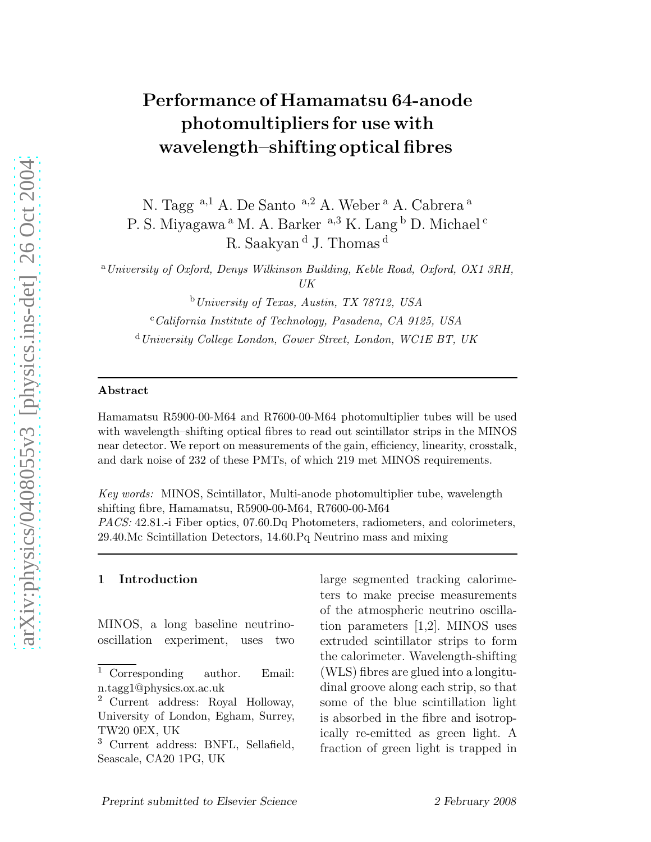# Performance of Hamamatsu 64-anode photomultipliers for use with wavelength–shifting optical fibres

N. Tagg<sup>a,1</sup> A. De Santo <sup>a,2</sup> A. Weber<sup>a</sup> A. Cabrera<sup>a</sup>

P. S. Miyagawa <sup>a</sup> M. A. Barker <sup>a, 3</sup> K. Lang <sup>b</sup> D. Michael <sup>c</sup>

R. Saakyan <sup>d</sup> J. Thomas <sup>d</sup>

<sup>a</sup>*University of Oxford, Denys Wilkinson Building, Keble Road, Oxford, OX1 3RH, UK*

<sup>b</sup>*University of Texas, Austin, TX 78712, USA*

<sup>c</sup>*California Institute of Technology, Pasadena, CA 9125, USA*

<sup>d</sup>*University College London, Gower Street, London, WC1E BT, UK*

#### Abstract

Hamamatsu R5900-00-M64 and R7600-00-M64 photomultiplier tubes will be used with wavelength–shifting optical fibres to read out scintillator strips in the MINOS near detector. We report on measurements of the gain, efficiency, linearity, crosstalk, and dark noise of 232 of these PMTs, of which 219 met MINOS requirements.

*Key words:* MINOS, Scintillator, Multi-anode photomultiplier tube, wavelength shifting fibre, Hamamatsu, R5900-00-M64, R7600-00-M64 *PACS:* 42.81.-i Fiber optics, 07.60.Dq Photometers, radiometers, and colorimeters, 29.40.Mc Scintillation Detectors, 14.60.Pq Neutrino mass and mixing

#### 1 Introduction

MINOS, a long baseline neutrinooscillation experiment, uses two large segmented tracking calorimeters to make precise measurements of the atmospheric neutrino oscillation parameters [1,2]. MINOS uses extruded scintillator strips to form the calorimeter. Wavelength-shifting (WLS) fibres are glued into a longitudinal groove along each strip, so that some of the blue scintillation light is absorbed in the fibre and isotropically re-emitted as green light. A fraction of green light is trapped in

<sup>&</sup>lt;sup>1</sup> Corresponding author. Email: n.tagg1@physics.ox.ac.uk

<sup>2</sup> Current address: Royal Holloway, University of London, Egham, Surrey, TW20 0EX, UK

<sup>3</sup> Current address: BNFL, Sellafield, Seascale, CA20 1PG, UK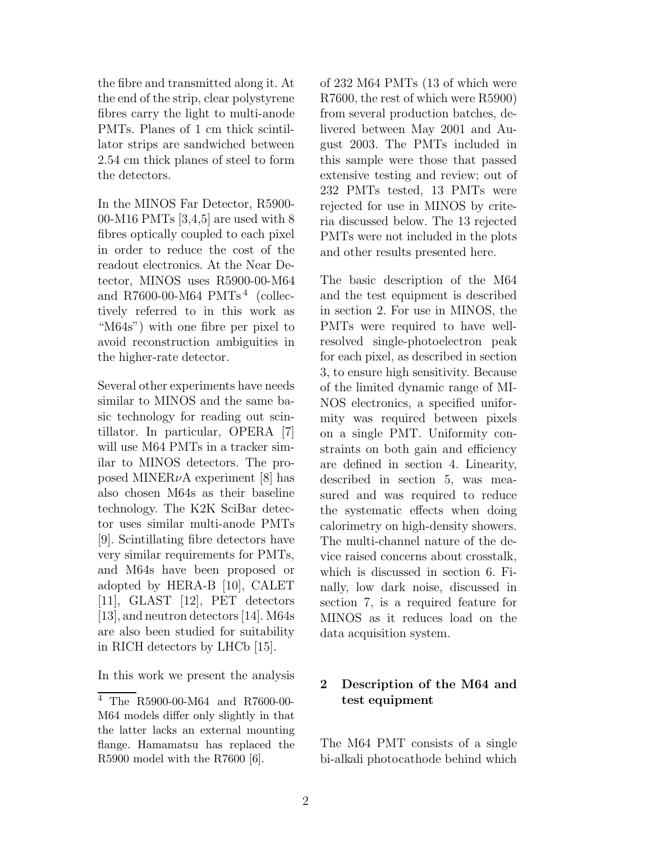the fibre and transmitted along it. At the end of the strip, clear polystyrene fibres carry the light to multi-anode PMTs. Planes of 1 cm thick scintillator strips are sandwiched between 2.54 cm thick planes of steel to form the detectors.

In the MINOS Far Detector, R5900- 00-M16 PMTs [3,4,5] are used with 8 fibres optically coupled to each pixel in order to reduce the cost of the readout electronics. At the Near Detector, MINOS uses R5900-00-M64 and R7600-00-M64 PMTs<sup>4</sup> (collectively referred to in this work as "M64s") with one fibre per pixel to avoid reconstruction ambiguities in the higher-rate detector.

Several other experiments have needs similar to MINOS and the same basic technology for reading out scintillator. In particular, OPERA [7] will use M64 PMTs in a tracker similar to MINOS detectors. The proposed MINER $\nu$ A experiment [8] has also chosen M64s as their baseline technology. The K2K SciBar detector uses similar multi-anode PMTs [9]. Scintillating fibre detectors have very similar requirements for PMTs, and M64s have been proposed or adopted by HERA-B [10], CALET [11], GLAST [12], PET detectors [13], and neutron detectors [14]. M64s are also been studied for suitability in RICH detectors by LHCb [15].

In this work we present the analysis

of 232 M64 PMTs (13 of which were R7600, the rest of which were R5900) from several production batches, delivered between May 2001 and August 2003. The PMTs included in this sample were those that passed extensive testing and review; out of 232 PMTs tested, 13 PMTs were rejected for use in MINOS by criteria discussed below. The 13 rejected PMTs were not included in the plots and other results presented here.

The basic description of the M64 and the test equipment is described in section 2. For use in MINOS, the PMTs were required to have wellresolved single-photoelectron peak for each pixel, as described in section 3, to ensure high sensitivity. Because of the limited dynamic range of MI-NOS electronics, a specified uniformity was required between pixels on a single PMT. Uniformity constraints on both gain and efficiency are defined in section 4. Linearity, described in section 5, was measured and was required to reduce the systematic effects when doing calorimetry on high-density showers. The multi-channel nature of the device raised concerns about crosstalk, which is discussed in section 6. Finally, low dark noise, discussed in section 7, is a required feature for MINOS as it reduces load on the data acquisition system.

# 2 Description of the M64 and test equipment

The M64 PMT consists of a single bi-alkali photocathode behind which

<sup>4</sup> The R5900-00-M64 and R7600-00- M64 models differ only slightly in that the latter lacks an external mounting flange. Hamamatsu has replaced the R5900 model with the R7600 [6].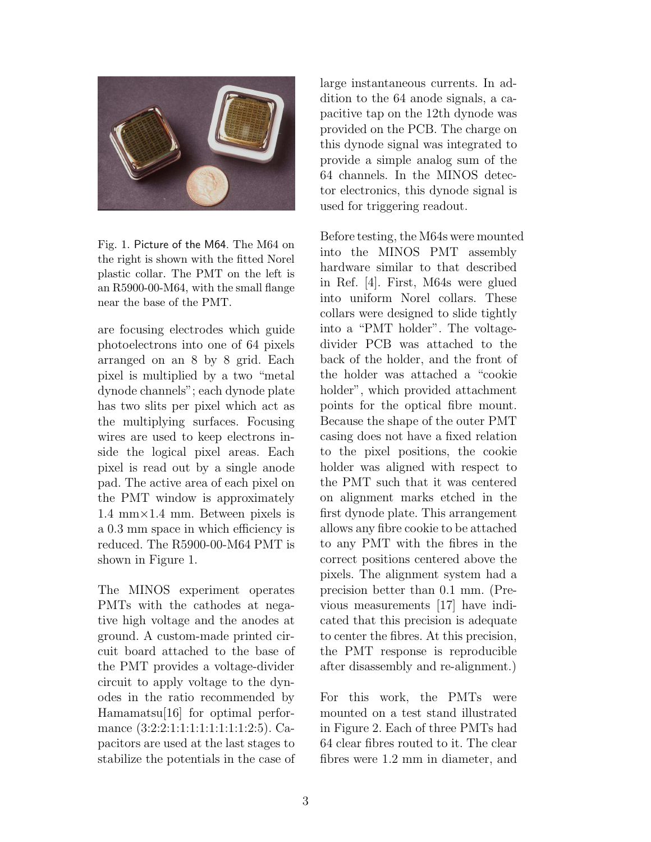

Fig. 1. Picture of the M64. The M64 on the right is shown with the fitted Norel plastic collar. The PMT on the left is an R5900-00-M64, with the small flange near the base of the PMT.

are focusing electrodes which guide photoelectrons into one of 64 pixels arranged on an 8 by 8 grid. Each pixel is multiplied by a two "metal dynode channels"; each dynode plate has two slits per pixel which act as the multiplying surfaces. Focusing wires are used to keep electrons inside the logical pixel areas. Each pixel is read out by a single anode pad. The active area of each pixel on the PMT window is approximately 1.4 mm $\times$ 1.4 mm. Between pixels is a 0.3 mm space in which efficiency is reduced. The R5900-00-M64 PMT is shown in Figure 1.

The MINOS experiment operates PMTs with the cathodes at negative high voltage and the anodes at ground. A custom-made printed circuit board attached to the base of the PMT provides a voltage-divider circuit to apply voltage to the dynodes in the ratio recommended by Hamamatsu[16] for optimal performance (3:2:2:1:1:1:1:1:1:1:1:1:2:5). Capacitors are used at the last stages to stabilize the potentials in the case of large instantaneous currents. In addition to the 64 anode signals, a capacitive tap on the 12th dynode was provided on the PCB. The charge on this dynode signal was integrated to provide a simple analog sum of the 64 channels. In the MINOS detector electronics, this dynode signal is used for triggering readout.

Before testing, the M64s were mounted into the MINOS PMT assembly hardware similar to that described in Ref. [4]. First, M64s were glued into uniform Norel collars. These collars were designed to slide tightly into a "PMT holder". The voltagedivider PCB was attached to the back of the holder, and the front of the holder was attached a "cookie holder", which provided attachment points for the optical fibre mount. Because the shape of the outer PMT casing does not have a fixed relation to the pixel positions, the cookie holder was aligned with respect to the PMT such that it was centered on alignment marks etched in the first dynode plate. This arrangement allows any fibre cookie to be attached to any PMT with the fibres in the correct positions centered above the pixels. The alignment system had a precision better than 0.1 mm. (Previous measurements [17] have indicated that this precision is adequate to center the fibres. At this precision, the PMT response is reproducible after disassembly and re-alignment.)

For this work, the PMTs were mounted on a test stand illustrated in Figure 2. Each of three PMTs had 64 clear fibres routed to it. The clear fibres were 1.2 mm in diameter, and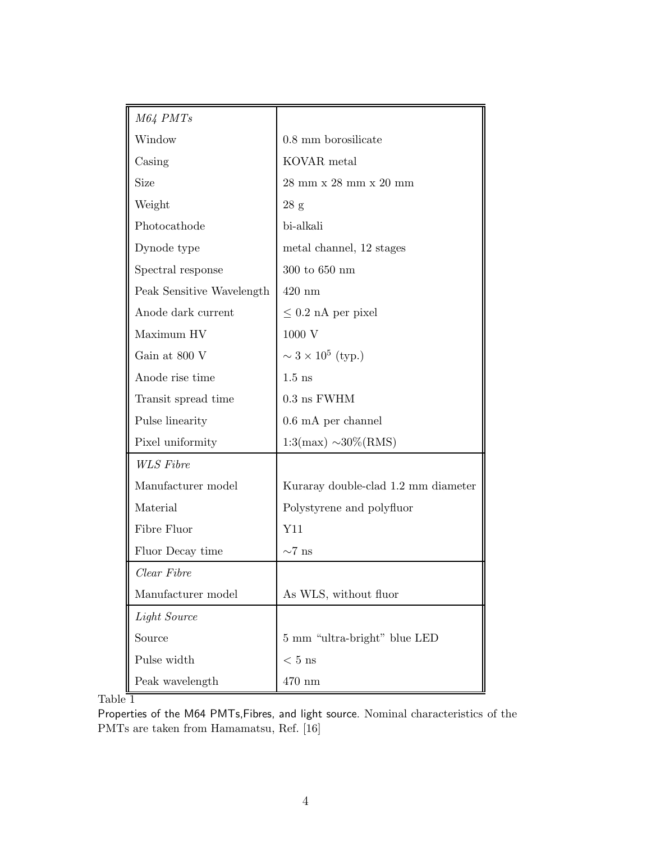| M64 PMTs                  |                                                           |
|---------------------------|-----------------------------------------------------------|
| Window                    | $0.8$ mm borosilicate                                     |
| Casing                    | KOVAR metal                                               |
| <b>Size</b>               | $28 \text{ mm} \times 28 \text{ mm} \times 20 \text{ mm}$ |
| Weight                    | 28 g                                                      |
| Photocathode              | bi-alkali                                                 |
| Dynode type               | metal channel, 12 stages                                  |
| Spectral response         | $300$ to $650~\mathrm{nm}$                                |
| Peak Sensitive Wavelength | $420$ nm                                                  |
| Anode dark current        | $\leq 0.2$ nA per pixel                                   |
| Maximum HV                | 1000 V                                                    |
| Gain at 800 V             | $\sim 3 \times 10^5$ (typ.)                               |
| Anode rise time           | $1.5$ ns                                                  |
| Transit spread time       | $0.3$ ns FWHM                                             |
| Pulse linearity           | $0.6 \text{ mA}$ per channel                              |
| Pixel uniformity          | $1:3(max) \sim 30\%(RMS)$                                 |
| <b>WLS</b> Fibre          |                                                           |
| Manufacturer model        | Kuraray double-clad 1.2 mm diameter                       |
| Material                  | Polystyrene and polyfluor                                 |
| Fibre Fluor               | Y11                                                       |
| Fluor Decay time          | $\sim$ 7 ns                                               |
| Clear Fibre               |                                                           |
| Manufacturer model        | As WLS, without fluor                                     |
| Light Source              |                                                           |
| Source                    | 5 mm "ultra-bright" blue LED                              |
| Pulse width               | $< 5$ ns                                                  |
| Peak wavelength           | $470\text{ }\mathrm{nm}$                                  |

 $Table \frac{1}{1}$ 

Properties of the M64 PMTs,Fibres, and light source. Nominal characteristics of the PMTs are taken from Hamamatsu, Ref. [16]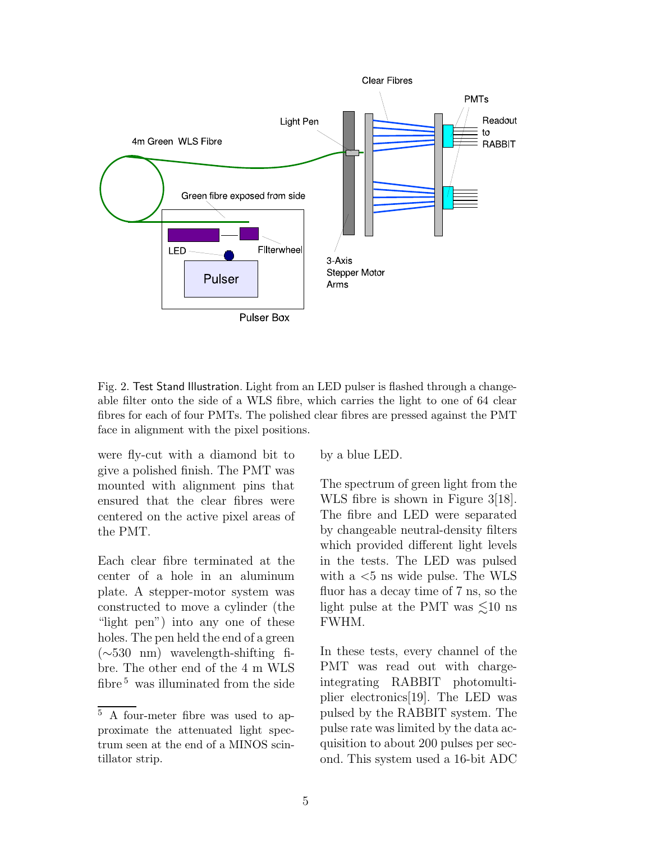

Fig. 2. Test Stand Illustration. Light from an LED pulser is flashed through a changeable filter onto the side of a WLS fibre, which carries the light to one of 64 clear fibres for each of four PMTs. The polished clear fibres are pressed against the PMT face in alignment with the pixel positions.

were fly-cut with a diamond bit to give a polished finish. The PMT was mounted with alignment pins that ensured that the clear fibres were centered on the active pixel areas of the PMT.

Each clear fibre terminated at the center of a hole in an aluminum plate. A stepper-motor system was constructed to move a cylinder (the "light pen") into any one of these holes. The pen held the end of a green (∼530 nm) wavelength-shifting fibre. The other end of the 4 m WLS fibre  $5$  was illuminated from the side by a blue LED.

The spectrum of green light from the WLS fibre is shown in Figure 3[18]. The fibre and LED were separated by changeable neutral-density filters which provided different light levels in the tests. The LED was pulsed with a  $<$ 5 ns wide pulse. The WLS fluor has a decay time of 7 ns, so the light pulse at the PMT was  $\leq 10$  ns FWHM.

In these tests, every channel of the PMT was read out with chargeintegrating RABBIT photomultiplier electronics[19]. The LED was pulsed by the RABBIT system. The pulse rate was limited by the data acquisition to about 200 pulses per second. This system used a 16-bit ADC

<sup>5</sup> A four-meter fibre was used to approximate the attenuated light spectrum seen at the end of a MINOS scintillator strip.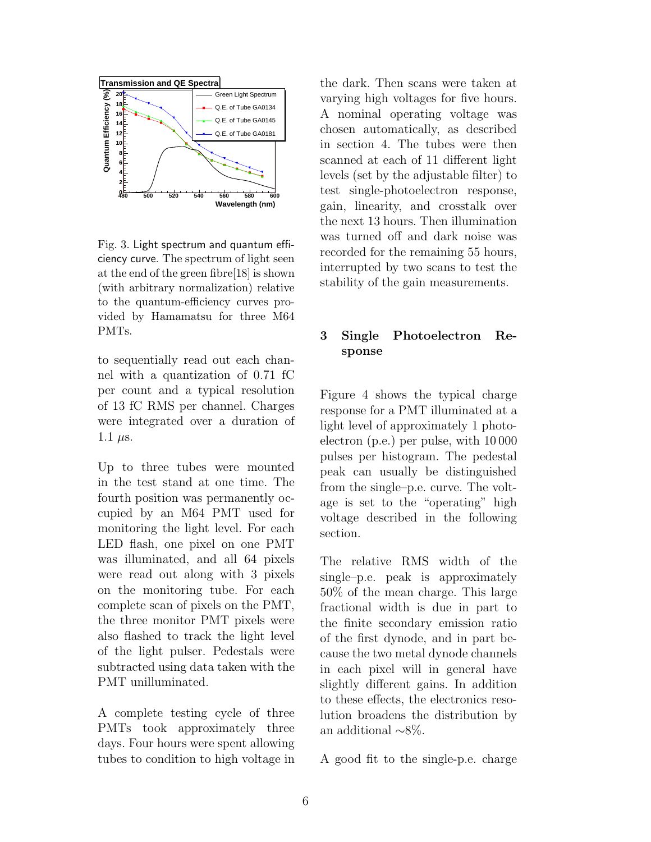

Fig. 3. Light spectrum and quantum efficiency curve. The spectrum of light seen at the end of the green fibre[18] is shown (with arbitrary normalization) relative to the quantum-efficiency curves provided by Hamamatsu for three M64 PMTs.

to sequentially read out each channel with a quantization of 0.71 fC per count and a typical resolution of 13 fC RMS per channel. Charges were integrated over a duration of 1.1  $\mu$ s.

Up to three tubes were mounted in the test stand at one time. The fourth position was permanently occupied by an M64 PMT used for monitoring the light level. For each LED flash, one pixel on one PMT was illuminated, and all 64 pixels were read out along with 3 pixels on the monitoring tube. For each complete scan of pixels on the PMT, the three monitor PMT pixels were also flashed to track the light level of the light pulser. Pedestals were subtracted using data taken with the PMT unilluminated.

A complete testing cycle of three PMTs took approximately three days. Four hours were spent allowing tubes to condition to high voltage in the dark. Then scans were taken at varying high voltages for five hours. A nominal operating voltage was chosen automatically, as described in section 4. The tubes were then scanned at each of 11 different light levels (set by the adjustable filter) to test single-photoelectron response, gain, linearity, and crosstalk over the next 13 hours. Then illumination was turned off and dark noise was recorded for the remaining 55 hours, interrupted by two scans to test the stability of the gain measurements.

# 3 Single Photoelectron Response

Figure 4 shows the typical charge response for a PMT illuminated at a light level of approximately 1 photoelectron (p.e.) per pulse, with 10 000 pulses per histogram. The pedestal peak can usually be distinguished from the single–p.e. curve. The voltage is set to the "operating" high voltage described in the following section.

The relative RMS width of the single–p.e. peak is approximately 50% of the mean charge. This large fractional width is due in part to the finite secondary emission ratio of the first dynode, and in part because the two metal dynode channels in each pixel will in general have slightly different gains. In addition to these effects, the electronics resolution broadens the distribution by an additional ∼8%.

A good fit to the single-p.e. charge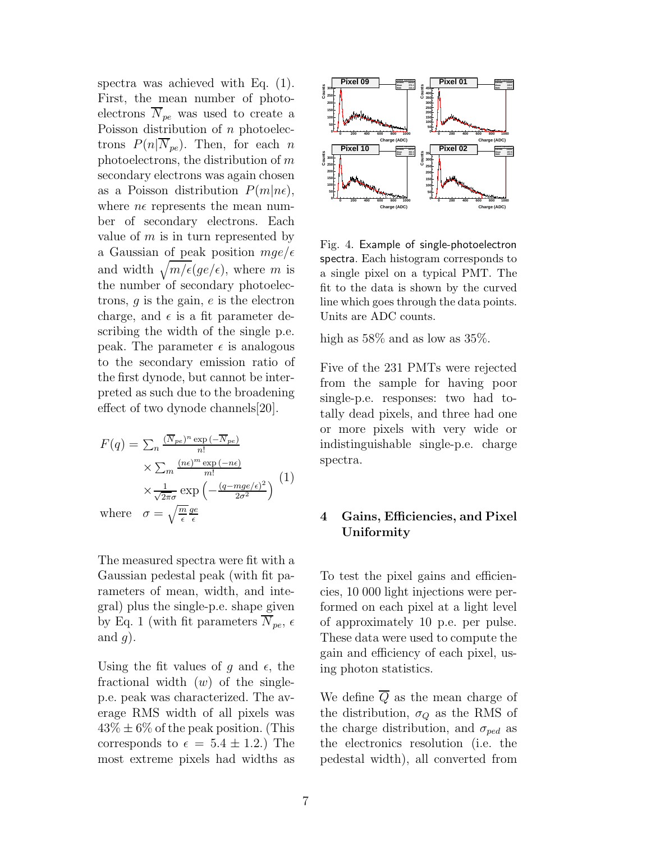spectra was achieved with Eq. (1). First, the mean number of photoelectrons  $\overline{N}_{pe}$  was used to create a Poisson distribution of  $n$  photoelectrons  $P(n|\overline{N}_{pe})$ . Then, for each n photoelectrons, the distribution of m secondary electrons was again chosen as a Poisson distribution  $P(m|n\epsilon)$ , where  $n\epsilon$  represents the mean number of secondary electrons. Each value of  $m$  is in turn represented by a Gaussian of peak position  $mge/\epsilon$ and width  $\sqrt{m/\epsilon}(ge/\epsilon)$ , where m is the number of secondary photoelectrons,  $q$  is the gain,  $e$  is the electron charge, and  $\epsilon$  is a fit parameter describing the width of the single p.e. peak. The parameter  $\epsilon$  is analogous to the secondary emission ratio of the first dynode, but cannot be interpreted as such due to the broadening effect of two dynode channels[20].

$$
F(q) = \sum_{n} \frac{(\overline{N}_{pe})^n \exp(-\overline{N}_{pe})}{n!}
$$

$$
\times \sum_{m} \frac{(n\epsilon)^m \exp(-n\epsilon)}{m!}
$$

$$
\times \frac{1}{\sqrt{2\pi}\sigma} \exp\left(-\frac{(q - mge/\epsilon)^2}{2\sigma^2}\right)
$$
 (1)  
where  $\sigma = \sqrt{\frac{m}{\epsilon}} \frac{ge}{\epsilon}$ 

The measured spectra were fit with a Gaussian pedestal peak (with fit parameters of mean, width, and integral) plus the single-p.e. shape given by Eq. 1 (with fit parameters  $\overline{N}_{pe}$ ,  $\epsilon$ and  $q$ ).

Using the fit values of q and  $\epsilon$ , the fractional width  $(w)$  of the singlep.e. peak was characterized. The average RMS width of all pixels was  $43\% \pm 6\%$  of the peak position. (This corresponds to  $\epsilon = 5.4 \pm 1.2$ . The most extreme pixels had widths as



Fig. 4. Example of single-photoelectron spectra. Each histogram corresponds to a single pixel on a typical PMT. The fit to the data is shown by the curved line which goes through the data points. Units are ADC counts.

high as 58% and as low as 35%.

Five of the 231 PMTs were rejected from the sample for having poor single-p.e. responses: two had totally dead pixels, and three had one or more pixels with very wide or indistinguishable single-p.e. charge spectra.

## 4 Gains, Efficiencies, and Pixel Uniformity

To test the pixel gains and efficiencies, 10 000 light injections were performed on each pixel at a light level of approximately 10 p.e. per pulse. These data were used to compute the gain and efficiency of each pixel, using photon statistics.

We define  $\overline{Q}$  as the mean charge of the distribution,  $\sigma_Q$  as the RMS of the charge distribution, and  $\sigma_{ped}$  as the electronics resolution (i.e. the pedestal width), all converted from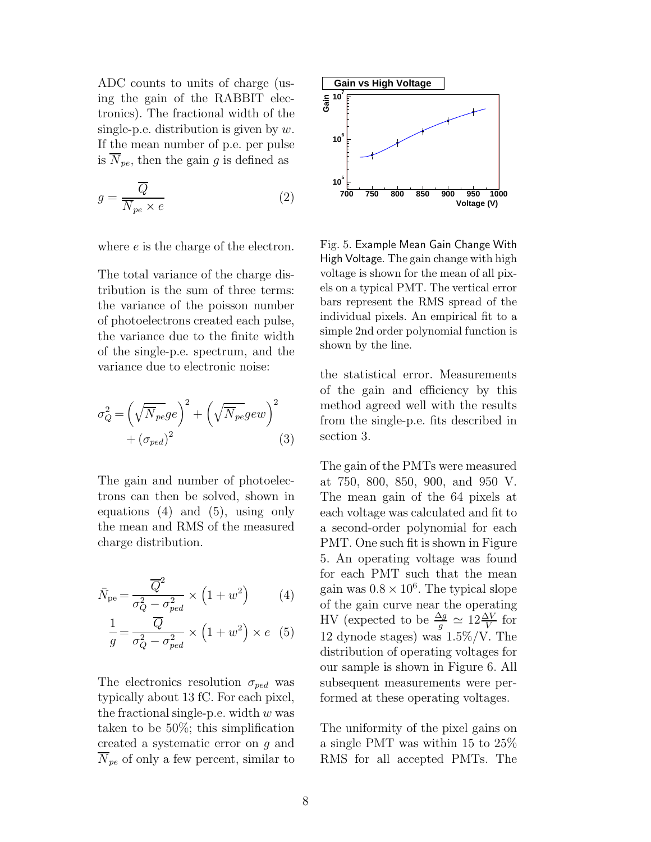ADC counts to units of charge (using the gain of the RABBIT electronics). The fractional width of the single-p.e. distribution is given by  $w$ . If the mean number of p.e. per pulse is  $N_{pe}$ , then the gain g is defined as

$$
g = \frac{\overline{Q}}{\overline{N}_{pe} \times e}
$$
 (2)

where e is the charge of the electron.

The total variance of the charge distribution is the sum of three terms: the variance of the poisson number of photoelectrons created each pulse, the variance due to the finite width of the single-p.e. spectrum, and the variance due to electronic noise:

$$
\sigma_Q^2 = \left(\sqrt{\overline{N}_{pe}}ge\right)^2 + \left(\sqrt{\overline{N}_{pe}}gew\right)^2 + \left(\sigma_{ped}\right)^2\tag{3}
$$

The gain and number of photoelectrons can then be solved, shown in equations (4) and (5), using only the mean and RMS of the measured charge distribution.

$$
\bar{N}_{\text{pe}} = \frac{\overline{Q}^2}{\sigma_Q^2 - \sigma_{ped}^2} \times \left(1 + w^2\right) \tag{4}
$$

$$
\frac{1}{g} = \frac{Q}{\sigma_Q^2 - \sigma_{ped}^2} \times \left(1 + w^2\right) \times e \quad (5)
$$

The electronics resolution  $\sigma_{ped}$  was typically about 13 fC. For each pixel, the fractional single-p.e. width  $w$  was taken to be 50%; this simplification created a systematic error on g and  $\overline{N}_{pe}$  of only a few percent, similar to



Fig. 5. Example Mean Gain Change With High Voltage. The gain change with high voltage is shown for the mean of all pixels on a typical PMT. The vertical error bars represent the RMS spread of the individual pixels. An empirical fit to a simple 2nd order polynomial function is shown by the line.

the statistical error. Measurements of the gain and efficiency by this method agreed well with the results from the single-p.e. fits described in section 3.

The gain of the PMTs were measured at 750, 800, 850, 900, and 950 V. The mean gain of the 64 pixels at each voltage was calculated and fit to a second-order polynomial for each PMT. One such fit is shown in Figure 5. An operating voltage was found for each PMT such that the mean gain was  $0.8 \times 10^6$ . The typical slope of the gain curve near the operating HV (expected to be  $\frac{\Delta g}{g} \simeq 12 \frac{\Delta V}{V}$  for 12 dynode stages) was 1.5%/V. The distribution of operating voltages for our sample is shown in Figure 6. All subsequent measurements were performed at these operating voltages.

The uniformity of the pixel gains on a single PMT was within 15 to 25% RMS for all accepted PMTs. The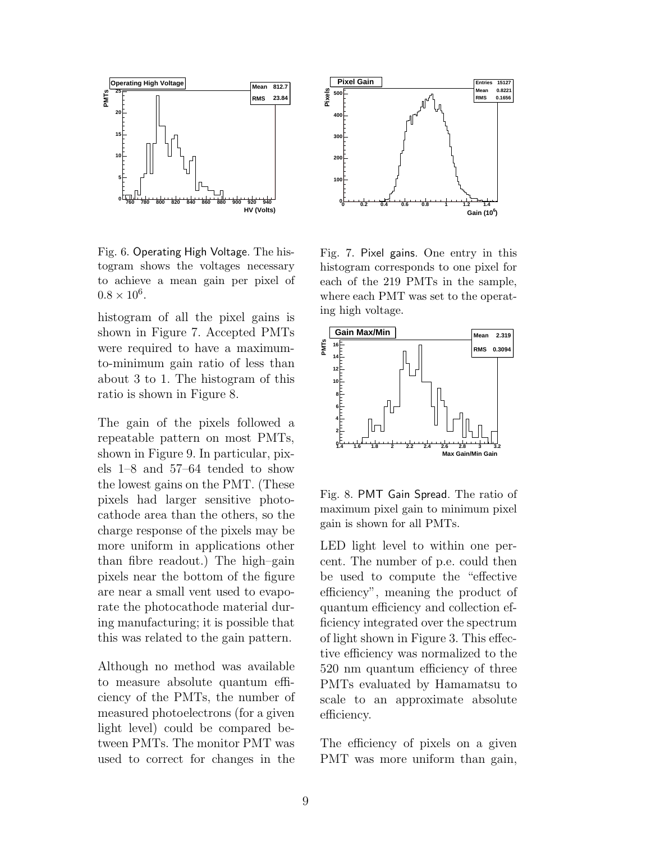

Fig. 6. Operating High Voltage. The histogram shows the voltages necessary to achieve a mean gain per pixel of  $0.8 \times 10^6$ .

histogram of all the pixel gains is shown in Figure 7. Accepted PMTs were required to have a maximumto-minimum gain ratio of less than about 3 to 1. The histogram of this ratio is shown in Figure 8.

The gain of the pixels followed a repeatable pattern on most PMTs, shown in Figure 9. In particular, pixels 1–8 and 57–64 tended to show the lowest gains on the PMT. (These pixels had larger sensitive photocathode area than the others, so the charge response of the pixels may be more uniform in applications other than fibre readout.) The high–gain pixels near the bottom of the figure are near a small vent used to evaporate the photocathode material during manufacturing; it is possible that this was related to the gain pattern.

Although no method was available to measure absolute quantum efficiency of the PMTs, the number of measured photoelectrons (for a given light level) could be compared between PMTs. The monitor PMT was used to correct for changes in the



Fig. 7. Pixel gains. One entry in this histogram corresponds to one pixel for each of the 219 PMTs in the sample, where each PMT was set to the operating high voltage.



Fig. 8. PMT Gain Spread. The ratio of maximum pixel gain to minimum pixel gain is shown for all PMTs.

LED light level to within one percent. The number of p.e. could then be used to compute the "effective efficiency", meaning the product of quantum efficiency and collection efficiency integrated over the spectrum of light shown in Figure 3. This effective efficiency was normalized to the 520 nm quantum efficiency of three PMTs evaluated by Hamamatsu to scale to an approximate absolute efficiency.

The efficiency of pixels on a given PMT was more uniform than gain,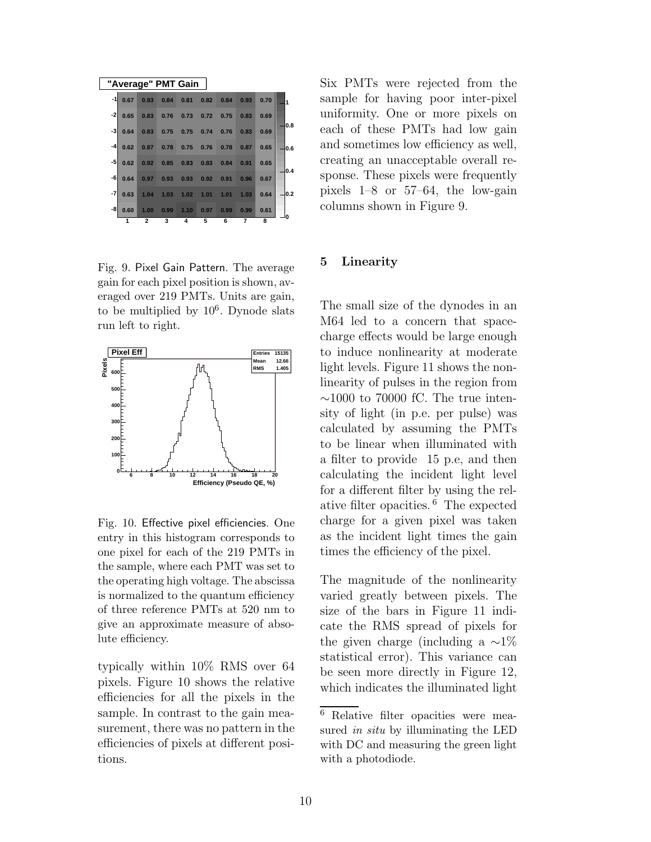|      |      |              |      | "Average" PMT Gain  |                      |      |      |      |     |
|------|------|--------------|------|---------------------|----------------------|------|------|------|-----|
| $-1$ | 0.67 | 0.93         | 0.84 |                     | $0.81$ $0.82$ $0.84$ |      | 0.93 | 0.70 | 1   |
| -2   | 0.65 | 0.83         | 0.76 |                     | $0.73$ 0.72          | 0.75 | 0.83 | 0.69 |     |
| -3   | 0.64 | 0.83         |      | 0.75 0.75 0.74 0.76 |                      |      | 0.83 | 0.69 | 0.8 |
| -4   | 0.62 | 0.87         | 0.78 |                     | $0.75$ 0.76 0.78     |      | 0.87 | 0.65 | 0.6 |
| $-5$ | 0.62 | 0.92         |      | 0.85 0.83 0.83 0.84 |                      |      | 0.91 | 0.65 | 0.4 |
| -6   | 0.64 | 0.97         | 0.93 | 0.93 0.92 0.91      |                      |      | 0.96 | 0.67 |     |
| -7   | 0.63 | 1.04         | 1.03 | 1.02                | 1.01                 | 1.01 | 1.03 | 0.64 | 0.2 |
| -8   | 0.60 | 1.00         | 0.99 | 1.10                | 0.97                 | 0.99 | 0.99 | 0.61 |     |
|      | 1    | $\mathbf{2}$ | 3    | 4                   | 5                    | 6    | 7    | 8    |     |

Fig. 9. Pixel Gain Pattern. The average gain for each pixel position is shown, averaged over 219 PMTs. Units are gain, to be multiplied by  $10^6$ . Dynode slats run left to right.



Fig. 10. Effective pixel efficiencies. One entry in this histogram corresponds to one pixel for each of the 219 PMTs in the sample, where each PMT was set to the operating high voltage. The abscissa is normalized to the quantum efficiency of three reference PMTs at 520 nm to give an approximate measure of absolute efficiency.

typically within 10% RMS over 64 pixels. Figure 10 shows the relative efficiencies for all the pixels in the sample. In contrast to the gain measurement, there was no pattern in the efficiencies of pixels at different positions.

Six PMTs were rejected from the sample for having poor inter-pixel uniformity. One or more pixels on each of these PMTs had low gain and sometimes low efficiency as well, creating an unacceptable overall response. These pixels were frequently pixels 1–8 or 57–64, the low-gain columns shown in Figure 9.

#### 5 Linearity

The small size of the dynodes in an M64 led to a concern that spacecharge effects would be large enough to induce nonlinearity at moderate light levels. Figure 11 shows the nonlinearity of pulses in the region from  $\sim$ 1000 to 70000 fC. The true intensity of light (in p.e. per pulse) was calculated by assuming the PMTs to be linear when illuminated with a filter to provide 15 p.e, and then calculating the incident light level for a different filter by using the relative filter opacities. <sup>6</sup> The expected charge for a given pixel was taken as the incident light times the gain times the efficiency of the pixel.

The magnitude of the nonlinearity varied greatly between pixels. The size of the bars in Figure 11 indicate the RMS spread of pixels for the given charge (including a  $\sim$ 1%) statistical error). This variance can be seen more directly in Figure 12, which indicates the illuminated light

<sup>6</sup> Relative filter opacities were measured *in situ* by illuminating the LED with DC and measuring the green light with a photodiode.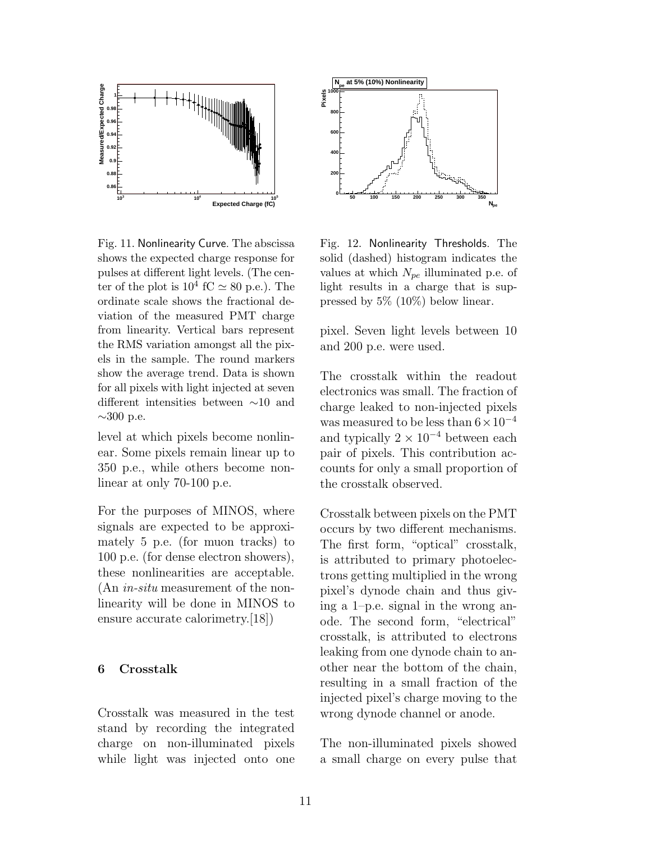

Fig. 11. Nonlinearity Curve. The abscissa shows the expected charge response for pulses at different light levels. (The center of the plot is  $10^4$  fC  $\simeq 80$  p.e.). The ordinate scale shows the fractional deviation of the measured PMT charge from linearity. Vertical bars represent the RMS variation amongst all the pixels in the sample. The round markers show the average trend. Data is shown for all pixels with light injected at seven different intensities between ∼10 and  $\sim$ 300 p.e.

level at which pixels become nonlinear. Some pixels remain linear up to 350 p.e., while others become nonlinear at only 70-100 p.e.

For the purposes of MINOS, where signals are expected to be approximately 5 p.e. (for muon tracks) to 100 p.e. (for dense electron showers), these nonlinearities are acceptable. (An in-situ measurement of the nonlinearity will be done in MINOS to ensure accurate calorimetry.[18])

#### 6 Crosstalk

Crosstalk was measured in the test stand by recording the integrated charge on non-illuminated pixels while light was injected onto one



Fig. 12. Nonlinearity Thresholds. The solid (dashed) histogram indicates the values at which  $N_{pe}$  illuminated p.e. of light results in a charge that is suppressed by 5% (10%) below linear.

pixel. Seven light levels between 10 and 200 p.e. were used.

The crosstalk within the readout electronics was small. The fraction of charge leaked to non-injected pixels was measured to be less than  $6 \times 10^{-4}$ and typically  $2 \times 10^{-4}$  between each pair of pixels. This contribution accounts for only a small proportion of the crosstalk observed.

Crosstalk between pixels on the PMT occurs by two different mechanisms. The first form, "optical" crosstalk, is attributed to primary photoelectrons getting multiplied in the wrong pixel's dynode chain and thus giving a 1–p.e. signal in the wrong anode. The second form, "electrical" crosstalk, is attributed to electrons leaking from one dynode chain to another near the bottom of the chain, resulting in a small fraction of the injected pixel's charge moving to the wrong dynode channel or anode.

The non-illuminated pixels showed a small charge on every pulse that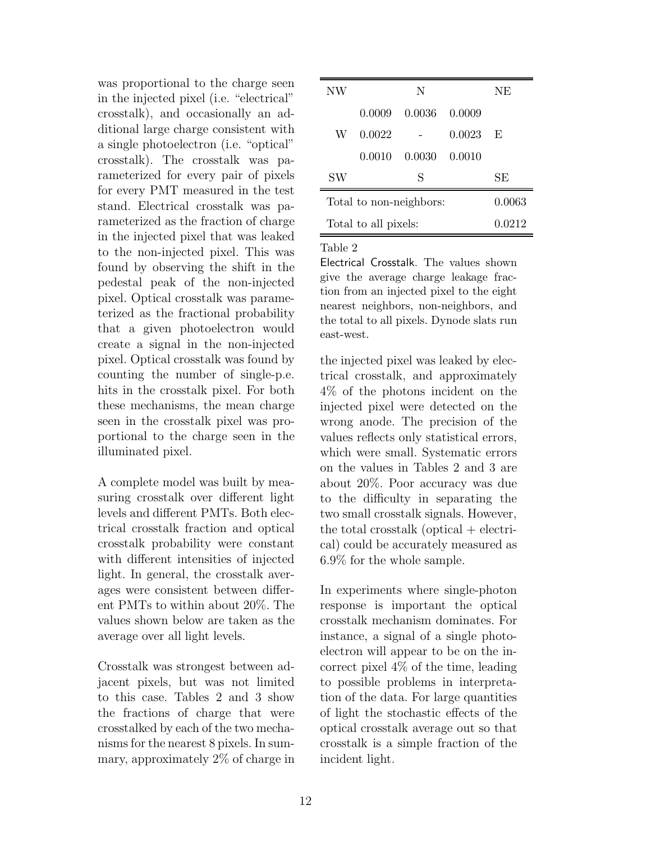was proportional to the charge seen in the injected pixel (i.e. "electrical" crosstalk), and occasionally an additional large charge consistent with a single photoelectron (i.e. "optical" crosstalk). The crosstalk was parameterized for every pair of pixels for every PMT measured in the test stand. Electrical crosstalk was parameterized as the fraction of charge in the injected pixel that was leaked to the non-injected pixel. This was found by observing the shift in the pedestal peak of the non-injected pixel. Optical crosstalk was parameterized as the fractional probability that a given photoelectron would create a signal in the non-injected pixel. Optical crosstalk was found by counting the number of single-p.e. hits in the crosstalk pixel. For both these mechanisms, the mean charge seen in the crosstalk pixel was proportional to the charge seen in the illuminated pixel.

A complete model was built by measuring crosstalk over different light levels and different PMTs. Both electrical crosstalk fraction and optical crosstalk probability were constant with different intensities of injected light. In general, the crosstalk averages were consistent between different PMTs to within about 20%. The values shown below are taken as the average over all light levels.

Crosstalk was strongest between adjacent pixels, but was not limited to this case. Tables 2 and 3 show the fractions of charge that were crosstalked by each of the two mechanisms for the nearest 8 pixels. In summary, approximately 2% of charge in

| NW                      |        | N      |        | NE     |
|-------------------------|--------|--------|--------|--------|
|                         | 0.0009 | 0.0036 | 0.0009 |        |
| W                       | 0.0022 |        | 0.0023 | E      |
|                         | 0.0010 | 0.0030 | 0.0010 |        |
| SW                      |        | S      |        | SЕ     |
| Total to non-neighbors: |        |        |        | 0.0063 |
| Total to all pixels:    |        |        |        | 0.0212 |

Table 2

Electrical Crosstalk. The values shown give the average charge leakage fraction from an injected pixel to the eight nearest neighbors, non-neighbors, and the total to all pixels. Dynode slats run east-west.

the injected pixel was leaked by electrical crosstalk, and approximately 4% of the photons incident on the injected pixel were detected on the wrong anode. The precision of the values reflects only statistical errors, which were small. Systematic errors on the values in Tables 2 and 3 are about 20%. Poor accuracy was due to the difficulty in separating the two small crosstalk signals. However, the total crosstalk (optical  $+$  electrical) could be accurately measured as 6.9% for the whole sample.

In experiments where single-photon response is important the optical crosstalk mechanism dominates. For instance, a signal of a single photoelectron will appear to be on the incorrect pixel 4% of the time, leading to possible problems in interpretation of the data. For large quantities of light the stochastic effects of the optical crosstalk average out so that crosstalk is a simple fraction of the incident light.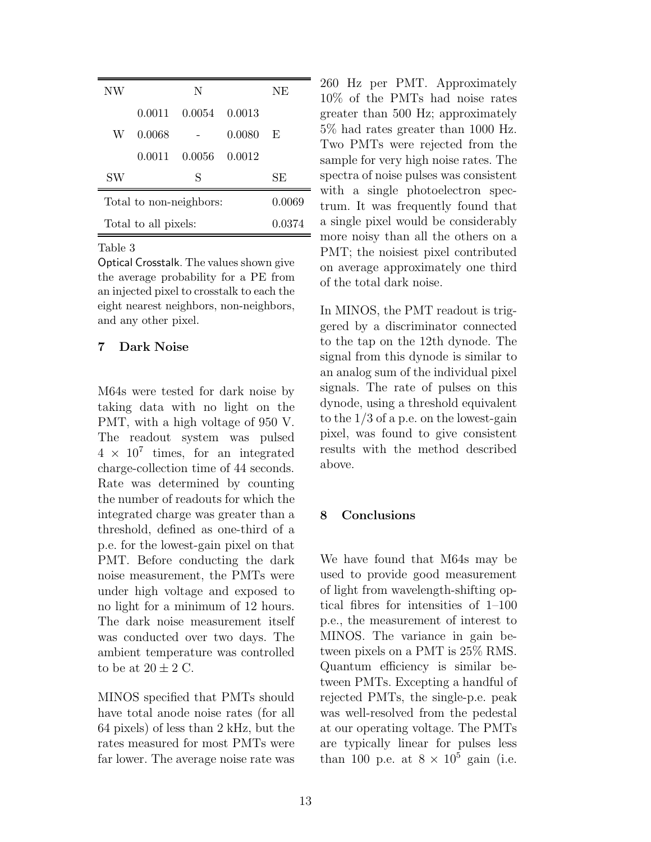| NW                      |        | N             |        | NE     |
|-------------------------|--------|---------------|--------|--------|
|                         |        | 0.0011 0.0054 | 0.0013 |        |
| W                       | 0.0068 |               | 0.0080 | E      |
|                         | 0.0011 | 0.0056        | 0.0012 |        |
| SW                      |        | S             |        | SЕ     |
| Total to non-neighbors: |        |               |        | 0.0069 |
| Total to all pixels:    |        |               | 0.0374 |        |

Table 3

Optical Crosstalk. The values shown give the average probability for a PE from an injected pixel to crosstalk to each the eight nearest neighbors, non-neighbors, and any other pixel.

#### 7 Dark Noise

M64s were tested for dark noise by taking data with no light on the PMT, with a high voltage of 950 V. The readout system was pulsed  $4 \times 10^7$  times, for an integrated charge-collection time of 44 seconds. Rate was determined by counting the number of readouts for which the integrated charge was greater than a threshold, defined as one-third of a p.e. for the lowest-gain pixel on that PMT. Before conducting the dark noise measurement, the PMTs were under high voltage and exposed to no light for a minimum of 12 hours. The dark noise measurement itself was conducted over two days. The ambient temperature was controlled to be at  $20 \pm 2$  C.

MINOS specified that PMTs should have total anode noise rates (for all 64 pixels) of less than 2 kHz, but the rates measured for most PMTs were far lower. The average noise rate was 260 Hz per PMT. Approximately 10% of the PMTs had noise rates greater than 500 Hz; approximately 5% had rates greater than 1000 Hz. Two PMTs were rejected from the sample for very high noise rates. The spectra of noise pulses was consistent with a single photoelectron spectrum. It was frequently found that a single pixel would be considerably more noisy than all the others on a PMT; the noisiest pixel contributed on average approximately one third of the total dark noise.

In MINOS, the PMT readout is triggered by a discriminator connected to the tap on the 12th dynode. The signal from this dynode is similar to an analog sum of the individual pixel signals. The rate of pulses on this dynode, using a threshold equivalent to the 1/3 of a p.e. on the lowest-gain pixel, was found to give consistent results with the method described above.

### 8 Conclusions

We have found that M64s may be used to provide good measurement of light from wavelength-shifting optical fibres for intensities of 1–100 p.e., the measurement of interest to MINOS. The variance in gain between pixels on a PMT is 25% RMS. Quantum efficiency is similar between PMTs. Excepting a handful of rejected PMTs, the single-p.e. peak was well-resolved from the pedestal at our operating voltage. The PMTs are typically linear for pulses less than 100 p.e. at  $8 \times 10^5$  gain (i.e.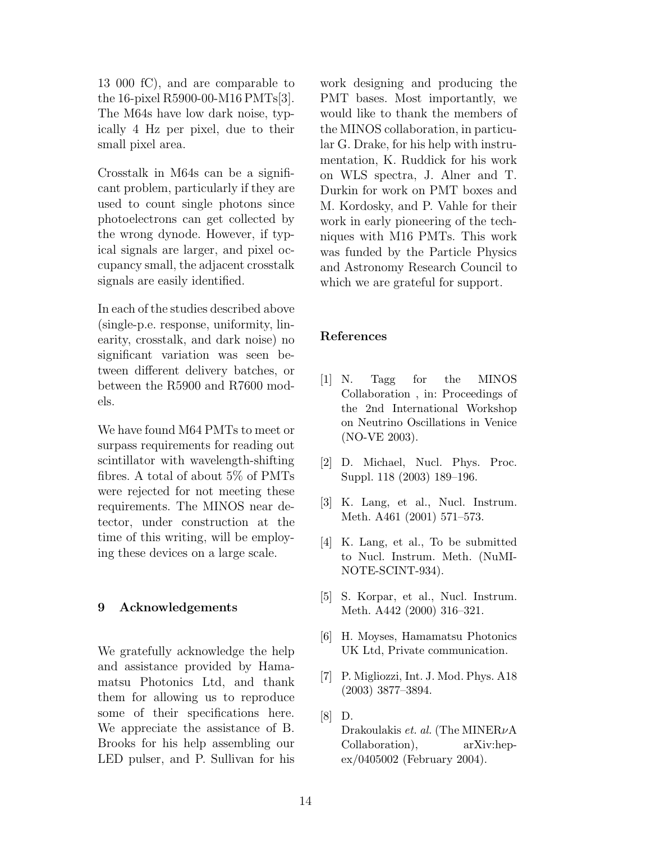13 000 fC), and are comparable to the 16-pixel R5900-00-M16 PMTs[3]. The M64s have low dark noise, typically 4 Hz per pixel, due to their small pixel area.

Crosstalk in M64s can be a significant problem, particularly if they are used to count single photons since photoelectrons can get collected by the wrong dynode. However, if typical signals are larger, and pixel occupancy small, the adjacent crosstalk signals are easily identified.

In each of the studies described above (single-p.e. response, uniformity, linearity, crosstalk, and dark noise) no significant variation was seen between different delivery batches, or between the R5900 and R7600 models.

We have found M64 PMTs to meet or surpass requirements for reading out scintillator with wavelength-shifting fibres. A total of about 5% of PMTs were rejected for not meeting these requirements. The MINOS near detector, under construction at the time of this writing, will be employing these devices on a large scale.

#### 9 Acknowledgements

We gratefully acknowledge the help and assistance provided by Hamamatsu Photonics Ltd, and thank them for allowing us to reproduce some of their specifications here. We appreciate the assistance of B. Brooks for his help assembling our LED pulser, and P. Sullivan for his work designing and producing the PMT bases. Most importantly, we would like to thank the members of the MINOS collaboration, in particular G. Drake, for his help with instrumentation, K. Ruddick for his work on WLS spectra, J. Alner and T. Durkin for work on PMT boxes and M. Kordosky, and P. Vahle for their work in early pioneering of the techniques with M16 PMTs. This work was funded by the Particle Physics and Astronomy Research Council to which we are grateful for support.

#### References

- [1] N. Tagg for the MINOS Collaboration , in: Proceedings of the 2nd International Workshop on Neutrino Oscillations in Venice (NO-VE 2003).
- [2] D. Michael, Nucl. Phys. Proc. Suppl. 118 (2003) 189–196.
- [3] K. Lang, et al., Nucl. Instrum. Meth. A461 (2001) 571–573.
- [4] K. Lang, et al., To be submitted to Nucl. Instrum. Meth. (NuMI-NOTE-SCINT-934).
- [5] S. Korpar, et al., Nucl. Instrum. Meth. A442 (2000) 316–321.
- [6] H. Moyses, Hamamatsu Photonics UK Ltd, Private communication.
- [7] P. Migliozzi, Int. J. Mod. Phys. A18 (2003) 3877–3894.
- [8] D.
	- Drakoulakis *et. al.* (The MINERνA Collaboration), arXiv:hepex/0405002 (February 2004).